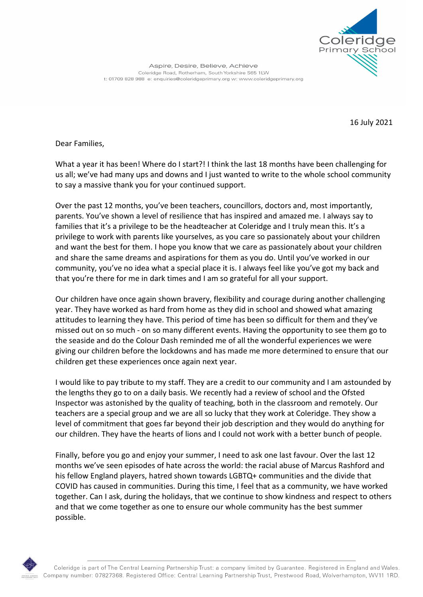

Aspire, Desire, Believe, Achieve Coleridge Road, Rotherham, South Yorkshire S65 1LW t: 01709 828 988 e: enquiries@coleridgeprimary.org w: www.coleridgeprimary.org

16 July 2021

Dear Families,

What a year it has been! Where do I start?! I think the last 18 months have been challenging for us all; we've had many ups and downs and I just wanted to write to the whole school community to say a massive thank you for your continued support.

Over the past 12 months, you've been teachers, councillors, doctors and, most importantly, parents. You've shown a level of resilience that has inspired and amazed me. I always say to families that it's a privilege to be the headteacher at Coleridge and I truly mean this. It's a privilege to work with parents like yourselves, as you care so passionately about your children and want the best for them. I hope you know that we care as passionately about your children and share the same dreams and aspirations for them as you do. Until you've worked in our community, you've no idea what a special place it is. I always feel like you've got my back and that you're there for me in dark times and I am so grateful for all your support.

Our children have once again shown bravery, flexibility and courage during another challenging year. They have worked as hard from home as they did in school and showed what amazing attitudes to learning they have. This period of time has been so difficult for them and they've missed out on so much - on so many different events. Having the opportunity to see them go to the seaside and do the Colour Dash reminded me of all the wonderful experiences we were giving our children before the lockdowns and has made me more determined to ensure that our children get these experiences once again next year.

I would like to pay tribute to my staff. They are a credit to our community and I am astounded by the lengths they go to on a daily basis. We recently had a review of school and the Ofsted Inspector was astonished by the quality of teaching, both in the classroom and remotely. Our teachers are a special group and we are all so lucky that they work at Coleridge. They show a level of commitment that goes far beyond their job description and they would do anything for our children. They have the hearts of lions and I could not work with a better bunch of people.

Finally, before you go and enjoy your summer, I need to ask one last favour. Over the last 12 months we've seen episodes of hate across the world: the racial abuse of Marcus Rashford and his fellow England players, hatred shown towards LGBTQ+ communities and the divide that COVID has caused in communities. During this time, I feel that as a community, we have worked together. Can I ask, during the holidays, that we continue to show kindness and respect to others and that we come together as one to ensure our whole community has the best summer possible.